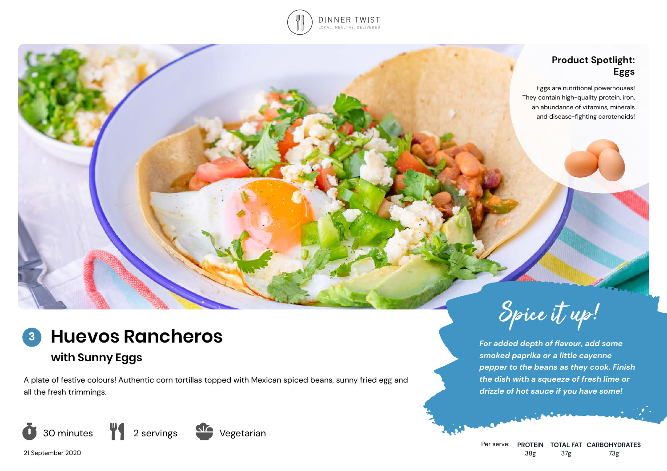

## **Product Spotlight: Eggs**

Eggs are nutritional powerhouses! They contain high-quality protein, iron, an abundance of vitamins, minerals and disease-fighting carotenoids!



# **with Sunny Eggs**

A plate of festive colours! Authentic corn tortillas topped with Mexican spiced beans, sunny fried egg and all the fresh trimmings.







*For added depth of flavour, add some smoked paprika or a little cayenne pepper to the beans as they cook. Finish the dish with a squeeze of fresh lime or drizzle of hot sauce if you have some!* 

Per serve: **PROTEIN TOTAL FAT CARBOHYDRATES** 38g 37g 73g

21 September 2020